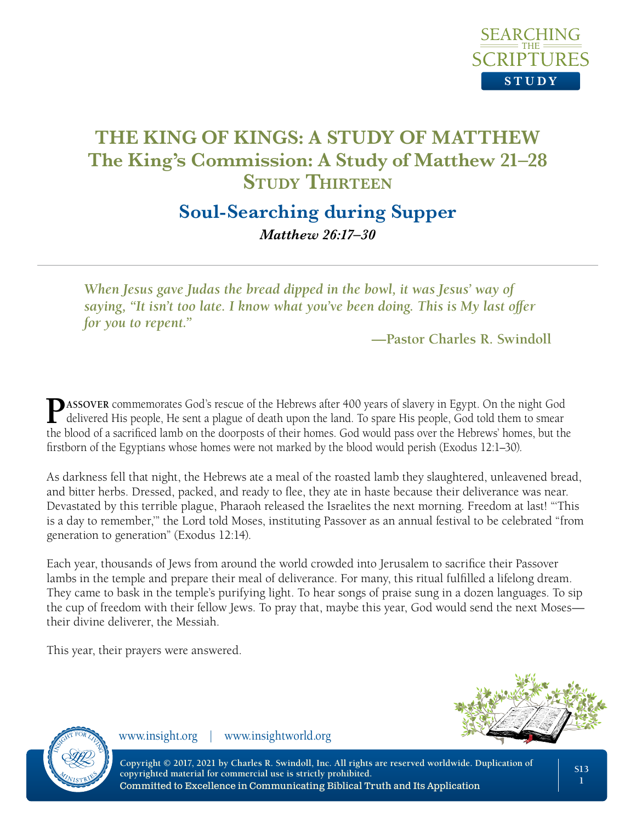

## **Soul-Searching during Supper** *Matthew 26:17–30*

*When Jesus gave Judas the bread dipped in the bowl, it was Jesus' way of saying, "It isn't too late. I know what you've been doing. This is My last offer for you to repent."*

**—Pastor Charles R. Swindoll**

**P**ASSOVER commemorates God's rescue of the Hebrews after 400 years of slavery in Egypt. On the night God delivered His people, He sent a plague of death upon the land. To spare His people, God told them to smear the blood of a sacrificed lamb on the doorposts of their homes. God would pass over the Hebrews' homes, but the firstborn of the Egyptians whose homes were not marked by the blood would perish (Exodus 12:1–30).

As darkness fell that night, the Hebrews ate a meal of the roasted lamb they slaughtered, unleavened bread, and bitter herbs. Dressed, packed, and ready to flee, they ate in haste because their deliverance was near. Devastated by this terrible plague, Pharaoh released the Israelites the next morning. Freedom at last! "'This is a day to remember,'" the Lord told Moses, instituting Passover as an annual festival to be celebrated "from generation to generation" (Exodus 12:14).

Each year, thousands of Jews from around the world crowded into Jerusalem to sacrifice their Passover lambs in the temple and prepare their meal of deliverance. For many, this ritual fulfilled a lifelong dream. They came to bask in the temple's purifying light. To hear songs of praise sung in a dozen languages. To sip the cup of freedom with their fellow Jews. To pray that, maybe this year, God would send the next Moses their divine deliverer, the Messiah.

This year, their prayers were answered.





www.insight.org | www.insightworld.org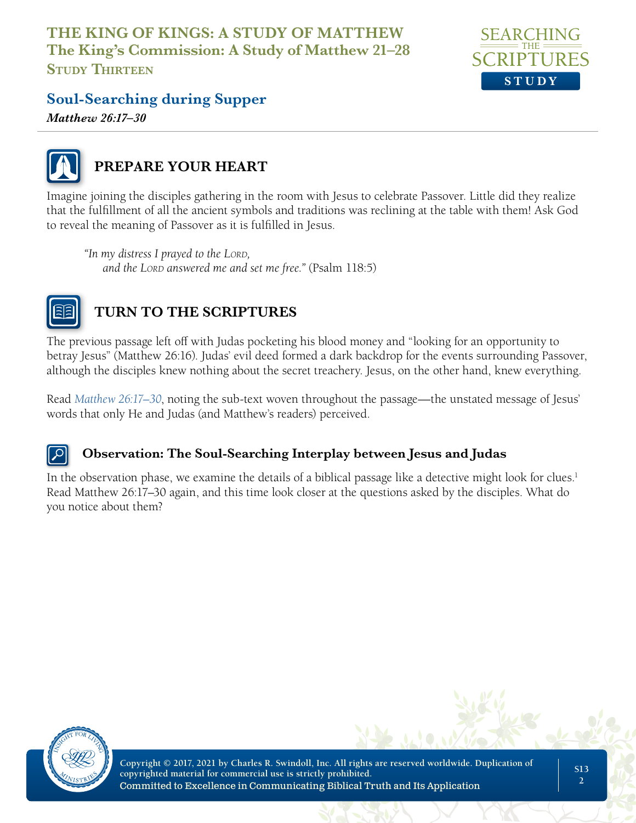

## **Soul-Searching during Supper**

*Matthew 26:17–30*



## **PREPARE YOUR HEART**

Imagine joining the disciples gathering in the room with Jesus to celebrate Passover. Little did they realize that the fulfillment of all the ancient symbols and traditions was reclining at the table with them! Ask God to reveal the meaning of Passover as it is fulfilled in Jesus.

*"In my distress I prayed to the Lord, and the LORD answered me and set me free." (Psalm 118:5)* 



## **TURN TO THE SCRIPTURES**

The previous passage left off with Judas pocketing his blood money and "looking for an opportunity to betray Jesus" (Matthew 26:16). Judas' evil deed formed a dark backdrop for the events surrounding Passover, although the disciples knew nothing about the secret treachery. Jesus, on the other hand, knew everything.

Read *Matthew 26:17–30*, noting the sub-text woven throughout the passage—the unstated message of Jesus' words that only He and Judas (and Matthew's readers) perceived.

#### **Observation: The Soul-Searching Interplay between Jesus and Judas**

In the observation phase, we examine the details of a biblical passage like a detective might look for clues.<sup>1</sup> Read Matthew 26:17–30 again, and this time look closer at the questions asked by the disciples. What do you notice about them?

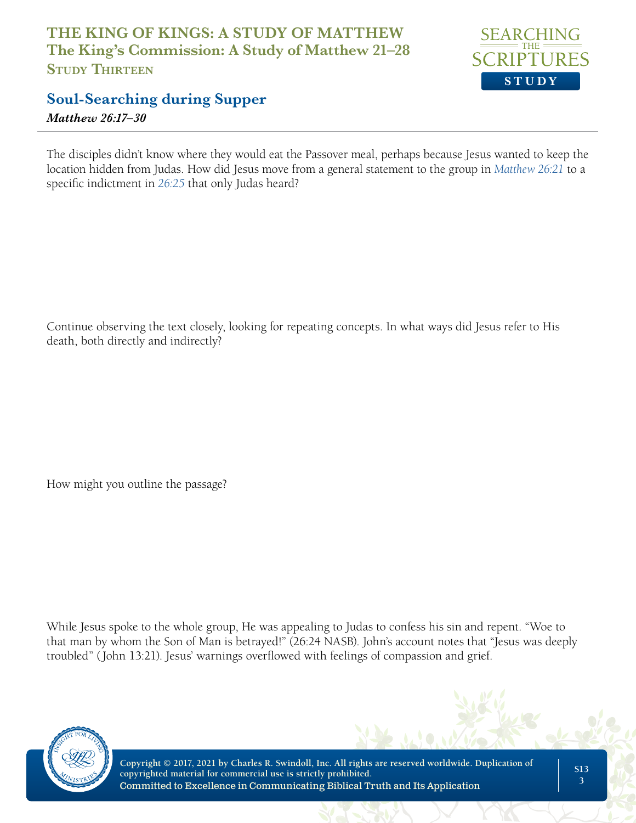

## **Soul-Searching during Supper**

*Matthew 26:17–30*

The disciples didn't know where they would eat the Passover meal, perhaps because Jesus wanted to keep the location hidden from Judas. How did Jesus move from a general statement to the group in *Matthew 26:21* to a specific indictment in *26:25* that only Judas heard?

Continue observing the text closely, looking for repeating concepts. In what ways did Jesus refer to His death, both directly and indirectly?

How might you outline the passage?

While Jesus spoke to the whole group, He was appealing to Judas to confess his sin and repent. "Woe to that man by whom the Son of Man is betrayed!" (26:24 NASB). John's account notes that "Jesus was deeply troubled" (John 13:21). Jesus' warnings overflowed with feelings of compassion and grief.

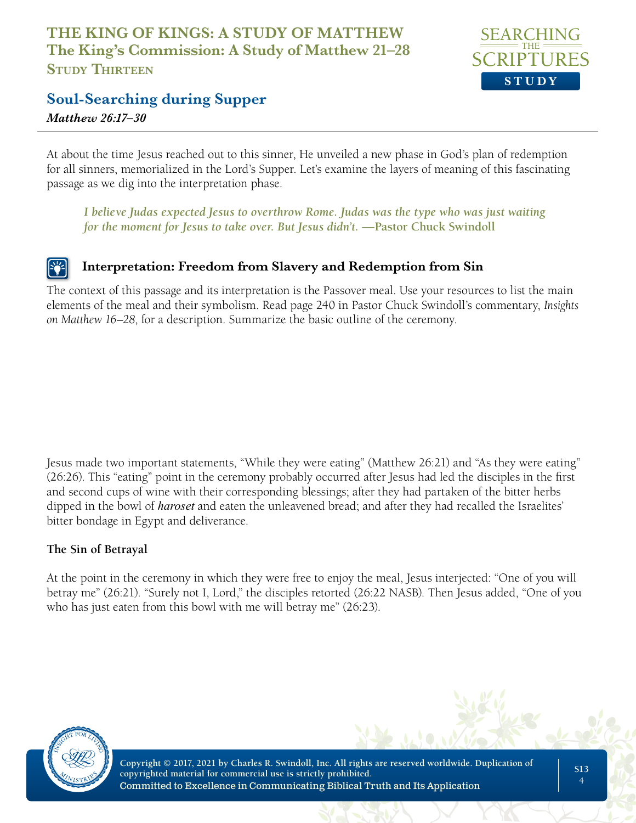

#### **Soul-Searching during Supper**

*Matthew 26:17–30*

At about the time Jesus reached out to this sinner, He unveiled a new phase in God's plan of redemption for all sinners, memorialized in the Lord's Supper. Let's examine the layers of meaning of this fascinating passage as we dig into the interpretation phase.

*I believe Judas expected Jesus to overthrow Rome. Judas was the type who was just waiting for the moment for Jesus to take over. But Jesus didn't.* **—Pastor Chuck Swindoll**

#### **Interpretation: Freedom from Slavery and Redemption from Sin**

The context of this passage and its interpretation is the Passover meal. Use your resources to list the main elements of the meal and their symbolism. Read page 240 in Pastor Chuck Swindoll's commentary, *Insights on Matthew 16–28*, for a description. Summarize the basic outline of the ceremony.

Jesus made two important statements, "While they were eating" (Matthew 26:21) and "As they were eating" (26:26). This "eating" point in the ceremony probably occurred after Jesus had led the disciples in the first and second cups of wine with their corresponding blessings; after they had partaken of the bitter herbs dipped in the bowl of *haroset* and eaten the unleavened bread; and after they had recalled the Israelites' bitter bondage in Egypt and deliverance.

#### **The Sin of Betrayal**

At the point in the ceremony in which they were free to enjoy the meal, Jesus interjected: "One of you will betray me" (26:21). "Surely not I, Lord," the disciples retorted (26:22 NASB). Then Jesus added, "One of you who has just eaten from this bowl with me will betray me" (26:23).

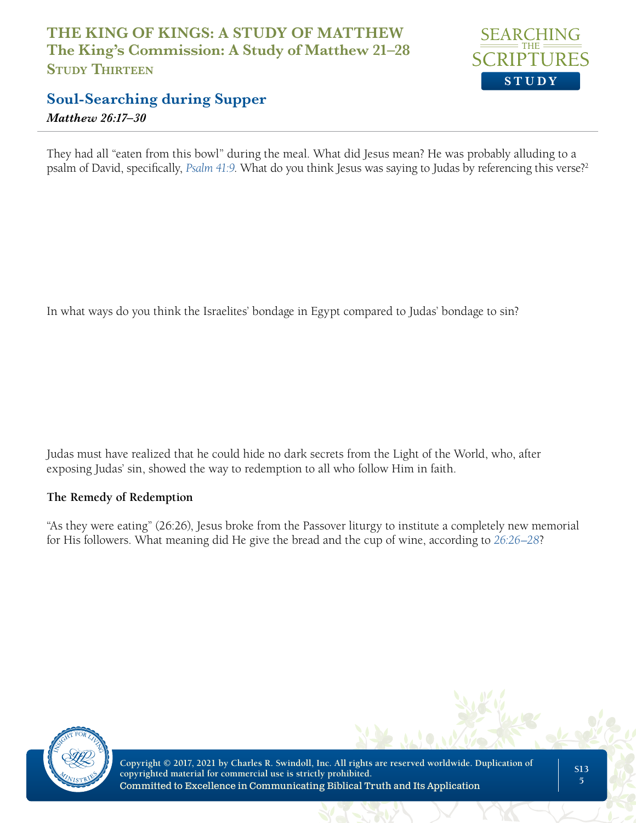

## **Soul-Searching during Supper**

*Matthew 26:17–30*

They had all "eaten from this bowl" during the meal. What did Jesus mean? He was probably alluding to a psalm of David, specifically, *Psalm 41:9*. What do you think Jesus was saying to Judas by referencing this verse?2

In what ways do you think the Israelites' bondage in Egypt compared to Judas' bondage to sin?

Judas must have realized that he could hide no dark secrets from the Light of the World, who, after exposing Judas' sin, showed the way to redemption to all who follow Him in faith.

#### **The Remedy of Redemption**

"As they were eating" (26:26), Jesus broke from the Passover liturgy to institute a completely new memorial for His followers. What meaning did He give the bread and the cup of wine, according to *26:26–28*?

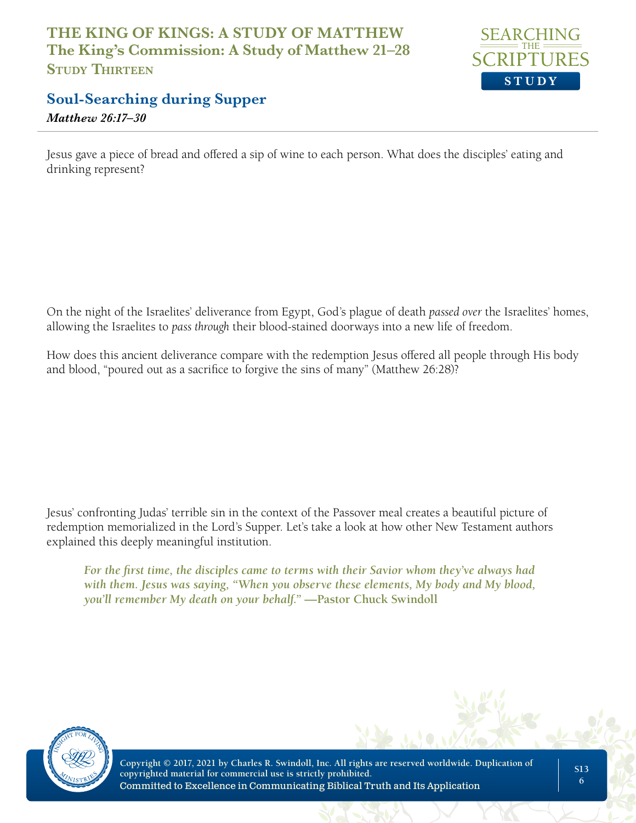

## **Soul-Searching during Supper**

*Matthew 26:17–30*

Jesus gave a piece of bread and offered a sip of wine to each person. What does the disciples' eating and drinking represent?

On the night of the Israelites' deliverance from Egypt, God's plague of death *passed over* the Israelites' homes, allowing the Israelites to *pass through* their blood-stained doorways into a new life of freedom.

How does this ancient deliverance compare with the redemption Jesus offered all people through His body and blood, "poured out as a sacrifice to forgive the sins of many" (Matthew 26:28)?

Jesus' confronting Judas' terrible sin in the context of the Passover meal creates a beautiful picture of redemption memorialized in the Lord's Supper. Let's take a look at how other New Testament authors explained this deeply meaningful institution.

*For the first time, the disciples came to terms with their Savior whom they've always had with them. Jesus was saying, "When you observe these elements, My body and My blood, you'll remember My death on your behalf."* **—Pastor Chuck Swindoll**

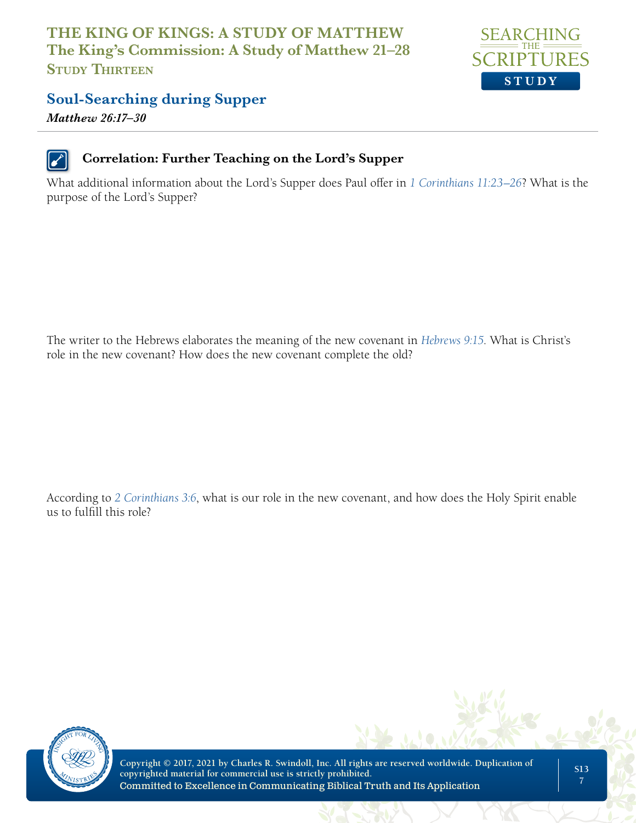

#### **Soul-Searching during Supper**

*Matthew 26:17–30*



#### **Correlation: Further Teaching on the Lord's Supper**

What additional information about the Lord's Supper does Paul offer in *1 Corinthians 11:23–26*? What is the purpose of the Lord's Supper?

The writer to the Hebrews elaborates the meaning of the new covenant in *Hebrews 9:15*. What is Christ's role in the new covenant? How does the new covenant complete the old?

According to *2 Corinthians 3:6*, what is our role in the new covenant, and how does the Holy Spirit enable us to fulfill this role?

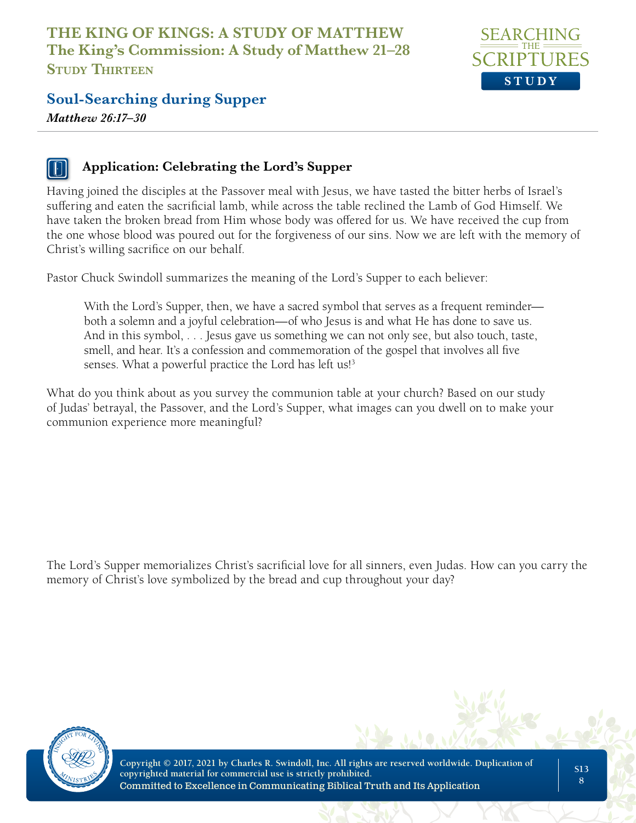

#### **Soul-Searching during Supper**

*Matthew 26:17–30*

#### **Application: Celebrating the Lord's Supper**

Having joined the disciples at the Passover meal with Jesus, we have tasted the bitter herbs of Israel's suffering and eaten the sacrificial lamb, while across the table reclined the Lamb of God Himself. We have taken the broken bread from Him whose body was offered for us. We have received the cup from the one whose blood was poured out for the forgiveness of our sins. Now we are left with the memory of Christ's willing sacrifice on our behalf.

Pastor Chuck Swindoll summarizes the meaning of the Lord's Supper to each believer:

With the Lord's Supper, then, we have a sacred symbol that serves as a frequent reminder both a solemn and a joyful celebration—of who Jesus is and what He has done to save us. And in this symbol, . . . Jesus gave us something we can not only see, but also touch, taste, smell, and hear. It's a confession and commemoration of the gospel that involves all five senses. What a powerful practice the Lord has left us!<sup>3</sup>

What do you think about as you survey the communion table at your church? Based on our study of Judas' betrayal, the Passover, and the Lord's Supper, what images can you dwell on to make your communion experience more meaningful?

The Lord's Supper memorializes Christ's sacrificial love for all sinners, even Judas. How can you carry the memory of Christ's love symbolized by the bread and cup throughout your day?